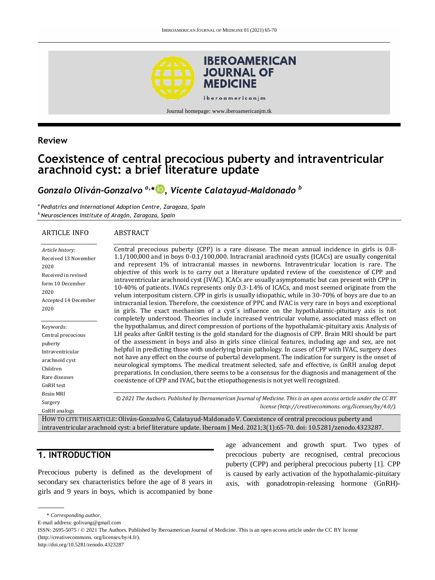

## **Review**

# **Coexistence of central precocious puberty and intraventricular arachnoid cyst: a brief literature update**

# *Gonzalo Oliván-Gonzalvo a,\* [,](http://orcid.org/0000-0002-5178-6651) Vicente Calatayud-Maldonado <sup>b</sup>*

*a Pediatrics and International Adoption Centre, Zaragoza, Spain <sup>b</sup>Neurosciences Institute of Aragón, Zaragoza, Spain*

#### ARTICLE INFO **ABSTRACT**

#### *Article history:* Received 13 November 2020 Received in revised form 10 December 2020 Accepted 14 December 2020 Keywords: Central precocious puberty Intraventricular arachnoid cyst Children Rare diseases GnRH test Brain MRI Surgery GnRH analogs Central precocious puberty (CPP) is a rare disease. The mean annual incidence in girls is 0.8- 1.1/100,000 and in boys 0-0.1/100,000. Intracranial arachnoid cysts (ICACs) are usually congenital and represent 1% of intracranial masses in newborns. Intraventricular location is rare. The objective of this work is to carry out a literature updated review of the coexistence of CPP and intraventricular arachnoid cyst (IVAC). ICACs are usually asymptomatic but can present with CPP in 10-40% of patients. IVACs represents only 0.3-1.4% of ICACs, and most seemed originate from the velum interpositum cistern. CPP in girls is usually idiopathic, while in 30-70% of boys are due to an intracranial lesion. Therefore, the coexistence of PPC and IVAC is very rare in boys and exceptional in girls. The exact mechanism of a cyst´s influence on the hypothalamic-pituitary axis is not completely understood. Theories include increased ventricular volume, associated mass effect on the hypothalamus, and direct compression of portions of the hypothalamic-pituitary axis. Analysis of LH peaks after GnRH testing is the gold standard for the diagnosis of CPP. Brain MRI should be part of the assessment in boys and also in girls since clinical features, including age and sex, are not helpful in predicting those with underlying brain pathology. In cases of CPP with IVAC, surgery does not have any effect on the course of pubertal development. The indication for surgery is the onset of neurological symptoms. The medical treatment selected, safe and effective, is GnRH analog depot preparations. In conclusion, there seems to be a consensus for the diagnosis and management of the coexistence of CPP and IVAC, but the etiopathogenesis is not yet well recognized. *© 2021 The Authors. Published by Iberoamerican Journal of Medicine. This is an open access article under the CC BY license (http:/[/creativecommons. org/licenses/by/4.0/\)](https://creativecommons.org/licenses/by/4.0/).*

HOW TO CITE THIS ARTICLE: Oliván-Gonzalvo G, Calatayud-Maldonado V. Coexistence of central precocious puberty and intraventricular arachnoid cyst: a brief literature update. Iberoam J Med. 2021;3(1):65-70. doi[: 10.5281/zenodo.4323287.](http://doi.org/10.5281/zenodo.4323287)

## **1. INTRODUCTION**

Precocious puberty is defined as the development of secondary sex characteristics before the age of 8 years in girls and 9 years in boys, which is accompanied by bone age advancement and growth spurt. Two types of precocious puberty are recognised, central precocious puberty (CPP) and peripheral precocious puberty [1]. CPP is caused by early activation of the hypothalamic-pituitary axis, with gonadotropin-releasing hormone (GnRH)-

<sup>\*</sup> *Corresponding author.*

E-mail address: golivang@gmail.com

ISSN: 2695-5075 / © 2021 The Authors. Published by Iberoamerican Journal of Medicine. This is an open access article under the CC BY license (http://creativecommons. org/licenses/by/4.0/).

http://doi.org/10.5281/zenodo.4323287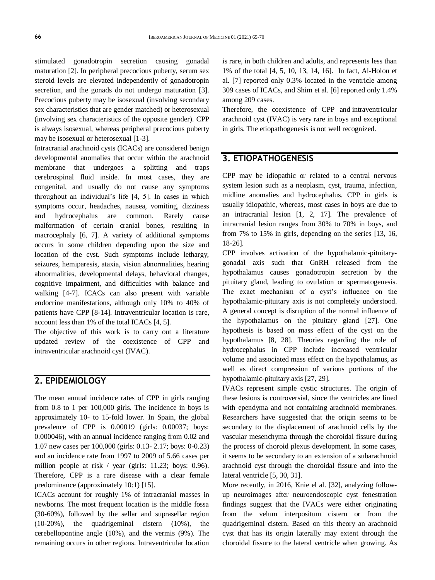stimulated gonadotropin secretion causing gonadal maturation [2]. In peripheral precocious puberty, serum sex steroid levels are elevated independently of gonadotropin secretion, and the gonads do not undergo maturation [3]. Precocious puberty may be isosexual (involving secondary sex characteristics that are gender matched) or heterosexual (involving sex characteristics of the opposite gender). CPP is always isosexual, whereas peripheral precocious puberty may be isosexual or heterosexual [1-3].

Intracranial arachnoid cysts (ICACs) are considered benign developmental anomalies that occur within the arachnoid membrane that undergoes a splitting and traps cerebrospinal fluid inside. In most cases, they are congenital, and usually do not cause any symptoms throughout an individual's life [4, 5]. In cases in which symptoms occur, headaches, nausea, vomiting, dizziness and hydrocephalus are common. Rarely cause malformation of certain cranial bones, resulting in macrocephaly [6, 7]. A variety of additional symptoms occurs in some children depending upon the size and location of the cyst. Such symptoms include lethargy, seizures, hemiparesis, ataxia, vision abnormalities, hearing abnormalities, developmental delays, behavioral changes, cognitive impairment, and difficulties with balance and walking [4-7]. ICACs can also present with variable endocrine manifestations, although only 10% to 40% of patients have CPP [8-14]. Intraventricular location is rare, account less than 1% of the total ICACs [4, 5].

The objective of this work is to carry out a literature updated review of the coexistence of CPP and intraventricular arachnoid cyst (IVAC).

#### **2. EPIDEMIOLOGY**

The mean annual incidence rates of CPP in girls ranging from 0.8 to 1 per 100,000 girls. The incidence in boys is approximately 10- to 15-fold lower. In Spain, the global prevalence of CPP is 0.00019 (girls: 0.00037; boys: 0.000046), with an annual incidence ranging from 0.02 and 1.07 new cases per 100,000 (girls: 0.13- 2.17; boys: 0-0.23) and an incidence rate from 1997 to 2009 of 5.66 cases per million people at risk / year (girls: 11.23; boys: 0.96). Therefore, CPP is a rare disease with a clear female predominance (approximately 10:1) [15].

ICACs account for roughly 1% of intracranial masses in newborns. The most frequent location is the middle fossa (30-60%), followed by the sellar and suprasellar region (10-20%), the quadrigeminal cistern (10%), the cerebellopontine angle (10%), and the vermis (9%). The remaining occurs in other regions. Intraventricular location is rare, in both children and adults, and represents less than 1% of the total [4, 5, 10, 13, 14, 16]. In fact, Al-Holou et al. [7] reported only 0.3% located in the ventricle among 309 cases of ICACs, and Shim et al. [6] reported only 1.4% among 209 cases.

Therefore, the coexistence of CPP and intraventricular arachnoid cyst (IVAC) is very rare in boys and exceptional in girls. The etiopathogenesis is not well recognized.

# **3. ETIOPATHOGENESIS**

CPP may be idiopathic or related to a central nervous system lesion such as a neoplasm, cyst, trauma, infection, midline anomalies and hydrocephalus. CPP in girls is usually idiopathic, whereas, most cases in boys are due to an intracranial lesion [1, 2, 17]. The prevalence of intracranial lesion ranges from 30% to 70% in boys, and from 7% to 15% in girls, depending on the series [13, 16, 18-26].

CPP involves activation of the hypothalamic-pituitarygonadal axis such that GnRH released from the hypothalamus causes gonadotropin secretion by the pituitary gland, leading to ovulation or spermatogenesis. The exact mechanism of a cyst's influence on the hypothalamic-pituitary axis is not completely understood. A general concept is disruption of the normal influence of the hypothalamus on the pituitary gland [27]. One hypothesis is based on mass effect of the cyst on the hypothalamus [8, 28]. Theories regarding the role of hydrocephalus in CPP include increased ventricular volume and associated mass effect on the hypothalamus, as well as direct compression of various portions of the hypothalamic-pituitary axis [27, 29].

IVACs represent simple cystic structures. The origin of these lesions is controversial, since the ventricles are lined with ependyma and not containing arachnoid membranes. Researchers have suggested that the origin seems to be secondary to the displacement of arachnoid cells by the vascular mesenchyma through the choroidal fissure during the process of choroid plexus development. In some cases, it seems to be secondary to an extension of a subarachnoid arachnoid cyst through the choroidal fissure and into the lateral ventricle [5, 30, 31].

More recently, in 2016, Knie el al. [32], analyzing followup neuroimages after neuroendoscopic cyst fenestration findings suggest that the IVACs were either originating from the velum interpositum cistern or from the quadrigeminal cistern. Based on this theory an arachnoid cyst that has its origin laterally may extent through the choroidal fissure to the lateral ventricle when growing. As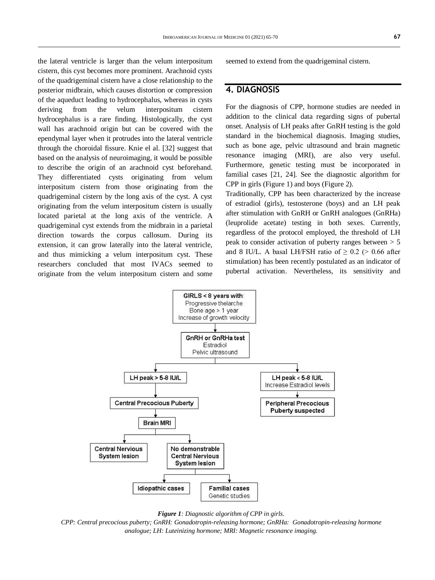the lateral ventricle is larger than the velum interpositum cistern, this cyst becomes more prominent. Arachnoid cysts of the quadrigeminal cistern have a close relationship to the posterior midbrain, which causes distortion or compression of the aqueduct leading to hydrocephalus, whereas in cysts deriving from the velum interpositum cistern hydrocephalus is a rare finding. Histologically, the cyst wall has arachnoid origin but can be covered with the ependymal layer when it protrudes into the lateral ventricle through the choroidal fissure. Knie el al. [32] suggest that based on the analysis of neuroimaging, it would be possible to describe the origin of an arachnoid cyst beforehand. They differentiated cysts originating from velum interpositum cistern from those originating from the quadrigeminal cistern by the long axis of the cyst. A cyst originating from the velum interpositum cistern is usually located parietal at the long axis of the ventricle. A quadrigeminal cyst extends from the midbrain in a parietal direction towards the corpus callosum. During its extension, it can grow laterally into the lateral ventricle, and thus mimicking a velum interpositum cyst. These researchers concluded that most IVACs seemed to originate from the velum interpositum cistern and some seemed to extend from the quadrigeminal cistern.

### **4. DIAGNOSIS**

For the diagnosis of CPP, hormone studies are needed in addition to the clinical data regarding signs of pubertal onset. Analysis of LH peaks after GnRH testing is the gold standard in the biochemical diagnosis. Imaging studies, such as bone age, pelvic ultrasound and brain magnetic resonance imaging (MRI), are also very useful. Furthermore, genetic testing must be incorporated in familial cases [21, 24]. See the diagnostic algorithm for CPP in girls (Figure 1) and boys (Figure 2).

Traditionally, CPP has been characterized by the increase of estradiol (girls), testosterone (boys) and an LH peak after stimulation with GnRH or GnRH analogues (GnRHa) (leuprolide acetate) testing in both sexes. Currently, regardless of the protocol employed, the threshold of LH peak to consider activation of puberty ranges between > 5 and 8 IU/L. A basal LH/FSH ratio of  $\geq 0.2$  ( $> 0.66$  after stimulation) has been recently postulated as an indicator of pubertal activation. Nevertheless, its sensitivity and





*CPP: Central precocious puberty; GnRH: Gonadotropin-releasing hormone; GnRHa: Gonadotropin-releasing hormone analogue; LH: Luteinizing hormone; MRI: Magnetic resonance imaging.*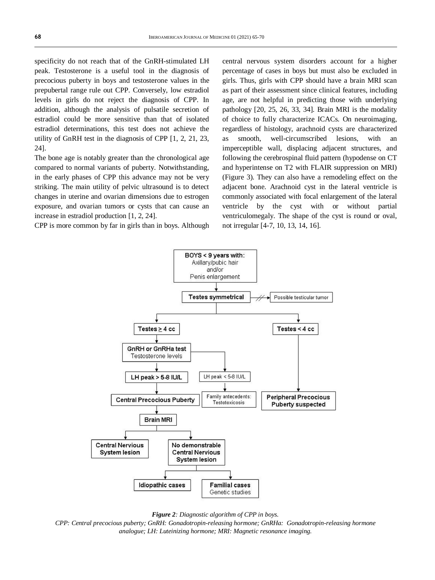specificity do not reach that of the GnRH-stimulated LH peak. Testosterone is a useful tool in the diagnosis of precocious puberty in boys and testosterone values in the prepubertal range rule out CPP. Conversely, low estradiol levels in girls do not reject the diagnosis of CPP. In addition, although the analysis of pulsatile secretion of estradiol could be more sensitive than that of isolated estradiol determinations, this test does not achieve the utility of GnRH test in the diagnosis of CPP [1, 2, 21, 23, 24].

The bone age is notably greater than the chronological age compared to normal variants of puberty. Notwithstanding, in the early phases of CPP this advance may not be very striking. The main utility of pelvic ultrasound is to detect changes in uterine and ovarian dimensions due to estrogen exposure, and ovarian tumors or cysts that can cause an increase in estradiol production [1, 2, 24].

CPP is more common by far in girls than in boys. Although

central nervous system disorders account for a higher percentage of cases in boys but must also be excluded in girls. Thus, girls with CPP should have a brain MRI scan as part of their assessment since clinical features, including age, are not helpful in predicting those with underlying pathology [20, 25, 26, 33, 34]. Brain MRI is the modality of choice to fully characterize ICACs. On neuroimaging, regardless of histology, arachnoid cysts are characterized as smooth, well-circumscribed lesions, with an imperceptible wall, displacing adjacent structures, and following the cerebrospinal fluid pattern (hypodense on CT and hyperintense on T2 with FLAIR suppression on MRI) (Figure 3). They can also have a remodeling effect on the adjacent bone. Arachnoid cyst in the lateral ventricle is commonly associated with focal enlargement of the lateral ventricle by the cyst with or without partial ventriculomegaly. The shape of the cyst is round or oval, not irregular [4-7, 10, 13, 14, 16].





*CPP: Central precocious puberty; GnRH: Gonadotropin-releasing hormone; GnRHa: Gonadotropin-releasing hormone analogue; LH: Luteinizing hormone; MRI: Magnetic resonance imaging.*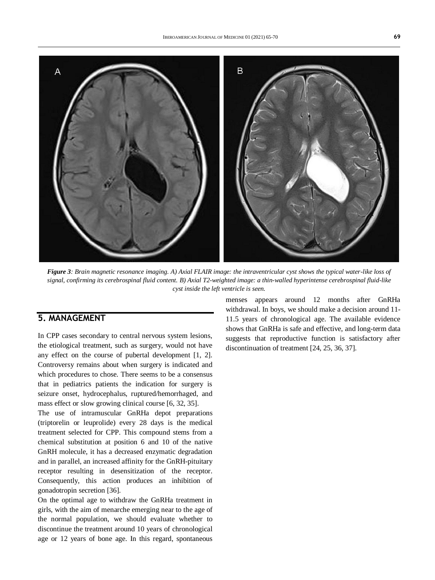

*Figure 3: Brain magnetic resonance imaging. A) Axial FLAIR image: the intraventricular cyst shows the typical water-like loss of signal, confirming its cerebrospinal fluid content. B) Axial T2-weighted image: a thin-walled hyperintense cerebrospinal fluid-like cyst inside the left ventricle is seen.*

# **5. MANAGEMENT**

In CPP cases secondary to central nervous system lesions, the etiological treatment, such as surgery, would not have any effect on the course of pubertal development [1, 2]. Controversy remains about when surgery is indicated and which procedures to chose. There seems to be a consensus that in pediatrics patients the indication for surgery is seizure onset, hydrocephalus, ruptured/hemorrhaged, and mass effect or slow growing clinical course [6, 32, 35].

The use of intramuscular GnRHa depot preparations (triptorelin or leuprolide) every 28 days is the medical treatment selected for CPP. This compound stems from a chemical substitution at position 6 and 10 of the native GnRH molecule, it has a decreased enzymatic degradation and in parallel, an increased affinity for the GnRH-pituitary receptor resulting in desensitization of the receptor. Consequently, this action produces an inhibition of gonadotropin secretion [36].

On the optimal age to withdraw the GnRHa treatment in girls, with the aim of menarche emerging near to the age of the normal population, we should evaluate whether to discontinue the treatment around 10 years of chronological age or 12 years of bone age. In this regard, spontaneous

menses appears around 12 months after GnRHa withdrawal. In boys, we should make a decision around 11- 11.5 years of chronological age. The available evidence shows that GnRHa is safe and effective, and long-term data suggests that reproductive function is satisfactory after discontinuation of treatment [24, 25, 36, 37].